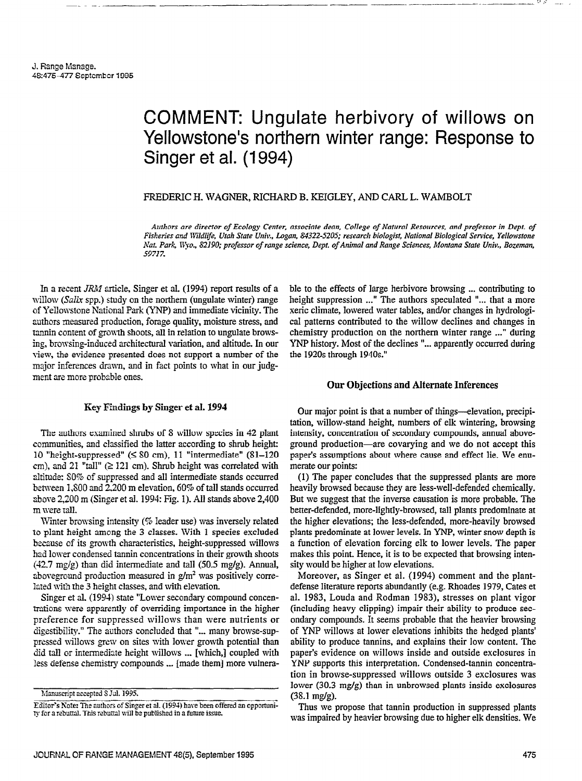# COMMENT: Ungulate herbivory of willows on Yellowstone's northern winter range: Response to Singer et al. (1994)

### FREDERIC H. WAGNER, RICHARD B. KEIGLEY, AND CARL L. WAMBOLT

Authors are director of Ecology Center, associate dean, College of Natural Resources, and professor in Dept. of Fisheries and Nildlife. Utah State Univ.. Logan. 84322-5205: research biologist, National Biological Service, Yellowstone Nat. Park, Wyo., 82190; professor of range science, Dept. of Animal and Range Sciences, Montana State Univ., Bozeman, 5971%

In a recent JRM article, Singer et al. (1994) report results of a willow  $(Salix$  spp.) study on the northern (ungulate winter) range of YeIlowstone National Park (YNP) and immediate vicinity. The authors measured production, forage quality, moisture stress, and tannin content of growth shoots, all in relation to ungulate browsing, browsing-induced architectural variation, and altitude. In our view, the evidence presented does not support a number of the major inferences drawn, and in fact points to what in our judgment are more probable ones.

### Key Findings by Singer et al. 1994

The authors examined shmbs of S willow species in 42 plant communities, and classified the latter according to shrub height: 10 "height-suppressed" (< SO cm), 11 "intermediate" (Sl-120 cm), and 21 "tall"  $(≥ 121$  cm). Shrub height was correlated with altitude: SO% of suppressed and all intermediate stands occurred between 1,SOO and 2200 m elevation, 60% of tall stands occurred above 2,200 m (Singer et al. 1994: Fig. 1). All stands above 2,400 m were talI.

Winter browsing intensity (% leader use) was inversely related to plant height among the 3 classes. With 1 species excluded because of its growth characteristics, height-suppressed willows had lower condensed tannin concentrations in their growth shoots  $(42.7 \text{ mg/g})$  than did intermediate and tall  $(50.5 \text{ mg/g})$ . Annual, aboveground production measured in  $g/m^2$  was positively correlated with the 3 height classes, and with elevation.

Singer et al. (1994) state "Lower secondary compound concentrations were apparently of overriding importance in the higher preference for suppressed willows than were nutrients or digestibility." The authors concluded that "... many browse-suppressed willows grew on sites with lower growth potential than did tall or intermediate height willows \_.. [which,] coupled with less defense chemistry compounds ... [made them] more vulnerable to the effects of large herbivore browsing ... contributing to height suppression ..." The authors speculated "... that a more xeric climate, lowered water tables, and/or changes in hydrological patterns contributed to the willow declines and changes in chemistry production on the northern winter range ..." during YNP history. Most of the declines "... apparently occurred during the 1920s through 1940s."

### Our Objections and Alternate Inferences

Our major point is that a number of things-elevation, precipitation, willow-stand height, numbers of elk wintering, browsing intensity, concentration of secondary compounds, annual aboveground production-are covarying and we do not accept this paper's assumptions about where cause and effect lie. We enumerate our points:

(1) The paper concludes that the suppressed plants are more heavily browsed because they are less-well-defended chemically. But we suggest that the inverse causation is more probable. The better-defended, more-lightly-browsed, tall plants predominate at the higher elevations; the less-defended, more-heavily browsed plants predominate at lower levels. In YNP, winter snow depth is a function of elevation forcing elk to lower levels. The paper makes this point. Hence, it is to be expected that browsing intensity would be higher at low elevations.

Moreover, as Singer et al. (1994) comment and the plantdefense literature reports abundantly (e.g. Rhoades 1979, Cates et al. 1983, Louda and Rodman 1983), stresses on plant vigor (including heavy clipping) impair their ability to produce secondary compounds. It seems probable that the heavier browsing of YNP willows at lower elevations inhibits the hedged plants' ability to produce tannins, and explains their low content. The paper's evidence on willows inside and outside exclosures in YNP supports this interpretation. Condensed-tannin concentration in browse-suppressed willows outside 3 exclosures was lower (30.3 mg/g) than in unbrowsed plants inside exclosures (3S.l mg/g).

Thus we propose that tannin production in suppressed plants was impaired by heavier browsing due to higher elk densities. We

Manuscript accepted S Jul. 1995.

Editor's Note: The authors of Singer et al. (1994) have been offered an opportunity for a rebuttal. This rebuttal will be published in a future issue.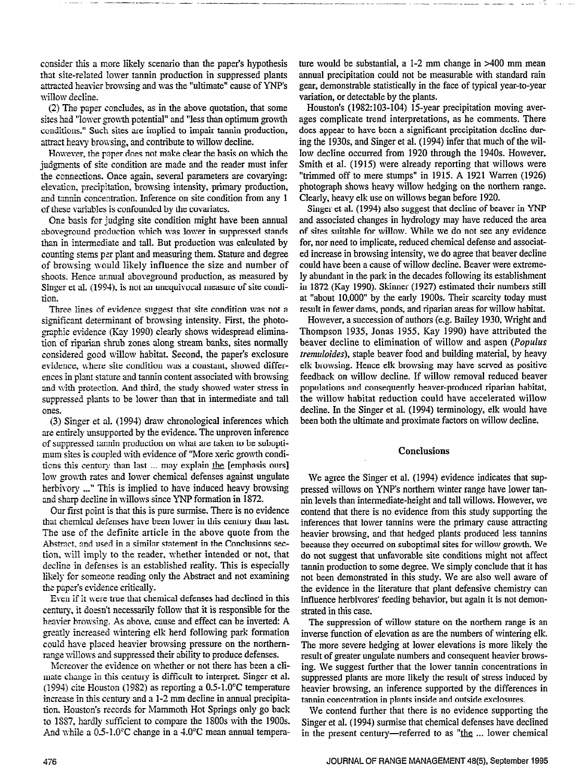consider this a more likely scenario than the paper's hypothesis that site-related lower tannin production in suppressed plants attracted heavier browsing and was the "ultimate" cause of YNP's willow decline.

(2) The paper concludes, as in the above quotation, that some sites had "lower growth potential" and "less than optimum growth conditions." Such sites are implied to impair tannin production, attract heavy browsing, and contribute to willow decline.

However, the paper does not make clear the basis on which the judgments of site condition are made and the reader must infer the connections. Once again, several parameters are covarying: elevation, precipitation, browsing intensity, primary production, and tannin concentration. Inference on site condition from any 1 of these variables is confounded by the covariates.

One basis for judging site condition might have been annual aboveground production which was lower in suppressed stands than in intermediate and tall. But production was calculated by counting stems per plant and measuring them. Stature and degree of browsing would likely influence the size and number of shoots. Hence annual aboveground production, as measured by Singer et al. (1994), is not an unequivocal measure of site condition.

Three lines of evidence suggest that site condition was not a significant determinant of browsing intensity. First, the photo- -graphic evidence (Kay 1990) clearly shows widespread elimination of riparian shrub zones along stream banks, sites normally considered good willow habitat. Second, the paper's exclosure evidence, where site condition was a constant, showed differences in plant stature and tannin content associated with browsing and with protection. And third, the study showed water stress in suppressed plants to be lower than that in intermediate and tall ones.

(3) Singer et al. (1994) draw chronological inferences which are entirely unsupported by the evidence. The unproven inference of suppressed tannin production on what are taken to be suboptimum sites is coupled with evidence of "More xeric growth conditions this century than last . . . may explain & [emphasis ours] low growth rates and lower chemical defenses as a chemical defenses and lower chemical defenses and the ungulate low growth rates and lower chemical defenses against ungulate herbivory ..." This is implied to have induced heavy browsing  $\frac{1}{2}$  and  $\frac{1}{2}$  in willows since  $\frac{1}{2}$  in  $\frac{1}{2}$  in  $\frac{1}{2}$  in  $\frac{1}{2}$  in  $\frac{1}{2}$  in  $\frac{1}{2}$  in  $\frac{1}{2}$  in  $\frac{1}{2}$  in  $\frac{1}{2}$  in  $\frac{1}{2}$  in  $\frac{1}{2}$  in  $\frac{1}{2}$  in  $\frac{1}{2}$  in  $\frac{1}{2}$  i  $\alpha$  sharp decline in whiows since  $\alpha$  for indication in  $1072$ .

Our first point is that this is pure surmise. There is no evidence that chemical defenses have been lower in this century than last. The use of the definite article in the above quote from the Abstract, and used in a similar statement in the Conclusions section, will imply to the reader, whether intended or not, that decline in defenses is an established reality. This is especially likely for someone reading only the Abstract and not examining the paper's evidence critically.

Even if it were true that chemical defenses had declined in this century, it doesn't necessarily follow that it is responsible for the heavier browsing. As above, cause and effect can be inverted: A greatly increased wintering elk herd following park formation could have placed heavier browsing pressure on the northernrange willows and suppressed their ability to produce defenses.

Mereover the evidence on whether or not there has been a climate change in this century is difficult to interpret. Singer et al. (1994) cite Houston (1982) as reporting a  $0.5$ -1.0°C temperature increase in this century and a 1-2 mm decline in annual precipitation. Houston's records for Mammoth Hot Springs only go back to 1887, hardly sufficient to compare the 1800s with the 1900s.<br>And while a  $0.5{\text -}1.0^{\circ}\text{C}$  change in a  $4.0^{\circ}\text{C}$  mean annual temperature would be substantial, a  $1-2$  mm change in  $>400$  mm mean annual precipitation could not be measurable with standard rain gear, demonstrable statistically in the face of typical year-to-year variation, or detectable by the plants.

Houston's (1982:103-104) 15-year precipitation moving averages complicate trend interpretations, as he comments. There does appear to have been a significant precipitation decline during the 193Os, and Singer et al. (1994) infer that much of the willow decline occurred from 1920 through the 1940s. However, Smith et al. (1915) were already reporting that willows were "trimmed off to mere stumps" in 1915. A 1921 Warren (1926) photograph shows heavy willow hedging on the northern range. Clearly, heavy elk use on willows began before 1920.

Singer et al. (1994) also suggest that decline of beaver in YNP and associated changes in hydrology may have reduced the area of sites suitable for willow. While we do not see any evidence for, nor need to implicate, reduced chemical defense and associated increase in browsing intensity, we do agree that beaver decline could have been a cause of willow decline. Beaver were extremely abundant in the park in the decades following its establishment in 1872 (Kay 1990). Skinner (1927) estimated their numbers still at "about 10,000" by the early 1900s. Their scarcity today must result in fewer dams, ponds, and riparian areas for willow habitat.

However, a succession of authors (e.g. Bailey 1930, Wright and Thompson 1935, Jonas 1955. Kay 1990) have attributed the beaver decline to elimination of willow and aspen (Populus tremuloides), staple beaver food and building material, by heavy elk browsing. Hence elk browsing may have served as positive feedback on willow decline. If willow removal reduced beaver populations and consequently beaver-produced riparian habitat, the willow habitat reduction could have accelerated willow decline. In the Singer et al. (1994) terminology, elk would have been both the ultimate and proximate factors on willow decline.

#### **Conclusions**

We agree the Singer et al. (1994) evidence indicates that suppressed willows on YNP's northern winter range have lower tanpressed willows on TIM 3 hourier will angle have lower tallmu levels than intermediate-fleight and tail whiows. However, we contenu mat litere is no evidence from this study supporting the inferences that lower tannins were the primary cause attracting heavier browsing, and that hedged plants produced less tannins because they occurred on suboptimal sites for willow growth. We do not suggest that unfavorable site conditions might not affect tannin production to some degree. We simply conclude that it has not been demonstrated in this study. We are also well aware of the evidence in the literature that plant defensive chemistry can influence herbivores' feeding behavior, but again it is not demonstrated in this case.  $T = \frac{1}{2}$  and  $T = \frac{1}{2}$  and  $T = \frac{1}{2}$  and  $T = \frac{1}{2}$  and  $T = \frac{1}{2}$  and  $T = \frac{1}{2}$  and  $T = \frac{1}{2}$  and  $T = \frac{1}{2}$  and  $T = \frac{1}{2}$  and  $T = \frac{1}{2}$  and  $T = \frac{1}{2}$  and  $T = \frac{1}{2}$  and  $T = \frac{1}{2}$  and  $T = \frac{1}{2}$  a

The suppression of willow stature on the northern range is an inverse function of elevation as are the numbers of wintering elk. The more severe hedging at lower elevations is more likely the result of greater ungulate numbers and consequent heavier browsing. We suggest further that the lower tannin concentrations in suppressed plants are more likely the result of stress induced by heavier browsing, an inference supported by the differences in tannin concentration in plants inside and outside exclosures.

We contend further that there is no evidence supporting the Singer et al. (1994) surmise that chemical defenses have declined<br>in the present century—referred to as "the ... lower chemical